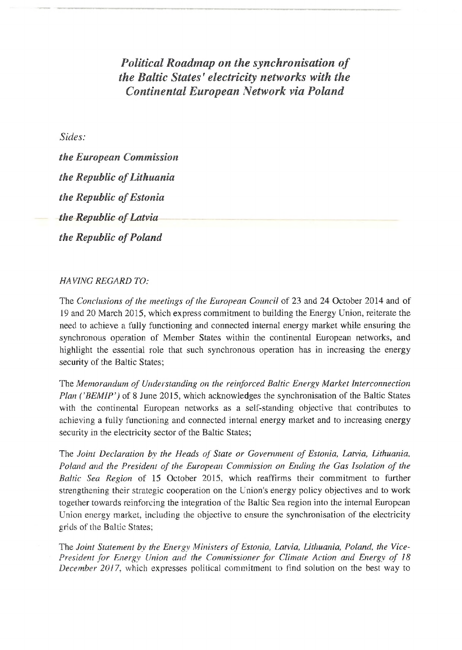*Political Roadmap on the synchronisation of the Baltic States<sup>1</sup> electricity networks with the Continental European Network via Poland*

*Sides:*

*the European Commission the Republic ofLithuania the Republic of Estonia the Republic ofLatvia the Republic of Poland* 

## *HA VING REGARD TO:*

The *Conclusions of the meetings of the European Council* of 23 and 24 October 2014 and of 19 and 20 March 2015, which express commitment to building the Energy Union, reiterate the need to achieve a fully functioning and connected internal energy market while ensuring the synchronous operation of Member States within the continental European networks, and highlight the essential role that such synchronous operation has in increasing the energy security of the Baltic States;

The *Memorandum of Understanding on the reinforced Baltic Energy Market Interconnection Plan ('BEMIP')* of <sup>8</sup> June 2015, which acknowledges the synchronisation of the Baltic States with the continental European networks as a self-standing objective that contributes to achieving a fully functioning and connected internal energy market and to increasing energy security in the electricity sector of the Baltic States;

The *Joint Declaration by the. Heads of State or Government of Estonia, Latvia, Lithuania, Poland and the President of the. European Commission on Ending the Gas Isolation of the Baltic Sea Region* of 15 October 2015, which reaffirms their commitment to further strengthening their strategic cooperation on the Union's energy policy objectives and to work together towards reinforcing the integration of the Baltic Sea region into the internal European Union energy market, including the objective to ensure the synchronisation of the electricity grids of the Baltic States;

The *Joint Statement by the Energy Ministers ofEstonia, Latvia, Lithuania, Poland, the Vice-President for Energy Union and the Commissioner for Climate Action and Energy of 18 December 2017,* which expresses political commitment to find solution on the best way to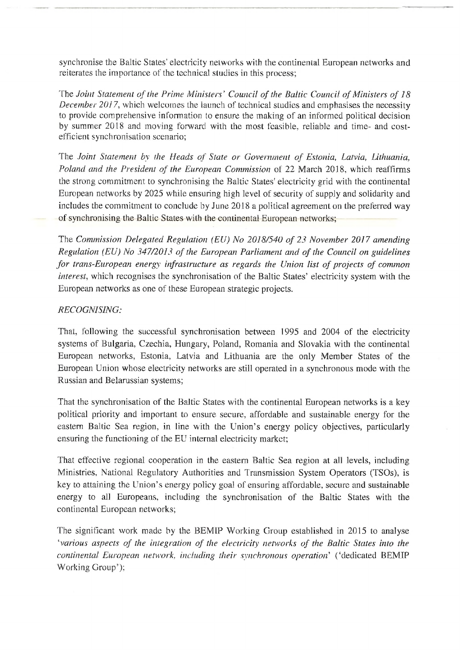synchronise the Baltic States' electricity networks with the continental European networks and reiterates the importance of the technical studies in this process;

The *Joint Statement ofthe Prime Ministers' Council of the Baltic Council ofMinisters of 18 December 2017,* which welcomes the launch of technical studies and emphasises the necessity to provide comprehensive information to ensure the making of an informed political decision by summer 2018 and moving forward with the most feasible, reliable and time- and costefficient synchronisation scenario;

The *Joint Statement by the Heads of State or Government of Estonia, Latvia, Lithuania, Poland and the President of the European Commission* of 22 March 2018, which reaffirms the strong commitment to synchronising the Baltic States' electricity grid with the continental European networks by 2025 while ensuring high level of security of supply and solidarity and includes the commitment to conclude by June 2018 a political agreement on the preferred way of synchronising the Baltic States with the continental European networks;

The *Commission Delegated Regulation (EU) No 2018/540 of 23 November 2017 amending Regulation (EU) No 347/2013 of the European Parliament and of the Council on guidelines for trans-European energy infrastructure as regards the Union list of projects of common interest*, which recognises the synchronisation of the Baltic States' electricity system with the European networks as one of these European strategic projects.

## *RECOGNISING:*

That, following the successful synchronisation between 1995 and 2004 of the electricity systems of Bulgaria, Czechia, Hungary, Poland, Romania and Slovakia with the continental European networks, Estonia, Latvia and Lithuania are the only Member States of the European Union whose electricity networks are still operated in a synchronous mode with the Russian and Belamssian systems;

That the synchronisation of the Baltic States with the continental European networks is a key political priority and important to ensure secure, affordable and sustainable energy for the eastern Baltic Sea region, in line with the Union's energy policy objectives, particularly ensuring the functioning of the EU internal electricity market;

That effective regional cooperation in the eastern Baltic Sea region at all levels, including Ministries, National Regulatory Authorities and Transmission System Operators (TSOs), is key to attaining the Union's energy policy goal of ensuring affordable, secure and sustainable energy to all Europeans, including the synchronisation of the Baltic States with the continental European networks;

The significant work made by the BEMIP Working Group established in 2015 to analyse *'various aspects of the integration of the electricity networks of the Baltic States into the continental European network, including their synchronous operation''* ('dedicated BEMIP Working Group'):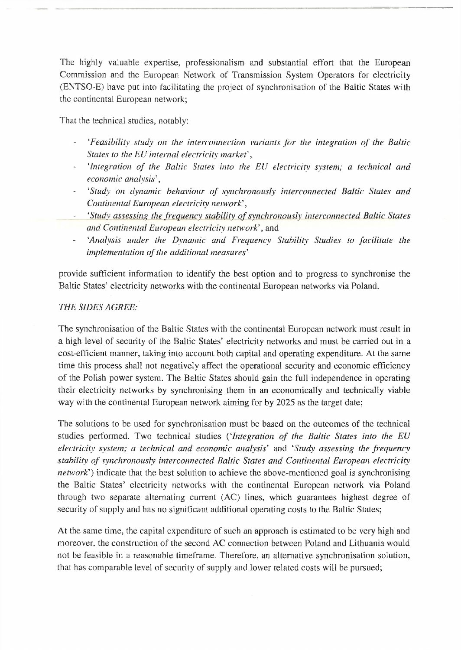The highly valuable expertise, professionalism and substantial effort that the European Commission and the European Network of Transmission System Operators for electricity (ENTSO-E) have put into facilitating the project of synchronisation of the Baltic States with the continental European network;

That the technical studies, notably:

- *'Feasibility study on the interconnection variants for the integration of the Baltic States to the EU internal electricity marked,*
- *'Integration of the Baltic Slates into the ELI electricity system; a technical and economic analysis',*
- *''Study on dynamic behaviour of synchronously interconnected Baltic Slates and Continental European electricity network*\
- *'Study assessing the frequency stability ofsynchronously interconnected Baltic States and Continental European electricity network'*, and
- *'Analysis under the Dynamic and Frequency Stability Studies to facilitate the*  $\mathcal{L}_{\mathcal{L}}$ *implementation of the additional measures'*

provide sufficient information to identify the best option and to progress to synchronise the Baltic States' electricity networks with the continental European networks via Poland.

## *THE SIDES AGREE:*

The synchronisation of the Baltic States with the continental European network must result in a high level of security of the Baltic States' electricity networks and must be carried out in a cost-efficient manner, taking into account both capital and operating expenditure. At the same time this process shall not negatively affect the operational security and economic efficiency of the Polish power system. The Baltic States should gain the full independence in operating their electricity networks by synchronising them in an economically and technically viable way with the continental European network aiming for by 2025 as the target date;

The solutions to be used for synchronisation must be based on the outcomes of the technical studies performed. Two technical studies ('*Integration of the Baltic States into the EU electricity system; a technical and economic analysis'* and '*Study assessing the fi-equency stability of synchronously interconnected Baltic States and Continental European electricity network*') indicate that the best solution to achieve the above-mentioned goal is synchronising the Baltic States' electricity networks with the continental European network via Poland through two separate alternating current (AC) lines, which guarantees highest degree of security of supply and has no significant additional operating costs to the Baltic States;

At the same time, the capital expenditure of such an approach is estimated to be very high and moreover, the construction of the second AC connection between Poland and Lithuania would not be feasible in a reasonable timeframe. Therefore, an alternative synchronisation solution, that has comparable level of security of supply and lower related costs will be pursued;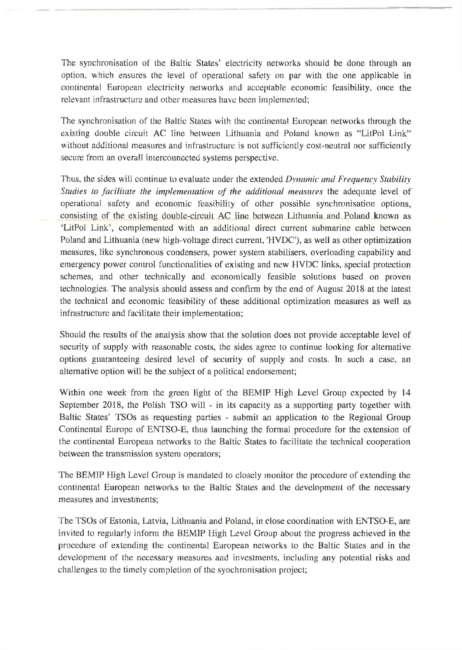The synchronisation of the Baltic States' electricity networks should be done through an option, which ensures the level of operational safety on par with the one applicable in continental European electricity networks and acceptable economic feasibility, once the relevant infrastructure and other measures have been implemented;

The synchronisation of the Baltic States with the continental European networks through the existing double circuit AC line between Lithuania and Poland known as "LitPol Link" without additional measures and infrastructure is not sufficiently cost-neutral nor sufficiently secure from an overall interconnected systems perspective.

Thus, the sides will continue to evaluate under the extended *Dynamic and Frequency Stability Studies to facilitate the implementation of the additional measures* the adequate level of operational safety and economic feasibility of other possible synchronisation options, consisting of the existing double-circuit AC line between Lithuania and Poland known as 'LitPol Link', complemented with an additional direct current submarine cable between Poland and Lithuania (new high-voltage direct current, 'HVDC'), as well as other optimization measures, like synchronous condensers, power system stabilisers, overloading capability and emergency power control functionalities of existing and new HVDC links, special protection schemes, and other technically and economically feasible solutions based on proven technologies. The analysis should assess and confirm by the end of August 2018 at the latest the technical and economic feasibility of these additional optimization measures as well as infrastructure and facilitate their implementation;

Should the results of the analysis show that the solution does not provide acceptable level of security of supply with reasonable costs, the sides agree to continue looking for alternative options guaranteeing desired level of security of supply and costs. In such a case, an alternative option will be the subject of a political endorsement;

Within one week from the green light of the BEMIP High Level Group expected by 14 September 2018, the Polish TSO will - in its capacity as a supporting party together with Baltic States' TSOs as requesting parties - submit an application to the Regional Group Continental Europe of ENTSO-E, thus launching the formal procedure for the extension of the continental European networks to the Baltic States to facilitate the technical cooperation between the transmission system operators;

The BEMIP High Level Group is mandated to closely monitor the procedure of extending the continental European networks to the Baltic States and the development of the necessary measures and investments;

The TSOs of Estonia, Latvia, Lithuania and Poland, in close coordination with ENTSO-E, are invited to regularly inform the BEMIP High Level Group about the progress achieved in the procedure of extending the continental European networks to the Baltic States and in the development of the necessary measures and investments, including any potential risks and challenges to the timely completion of the synchronisation project;